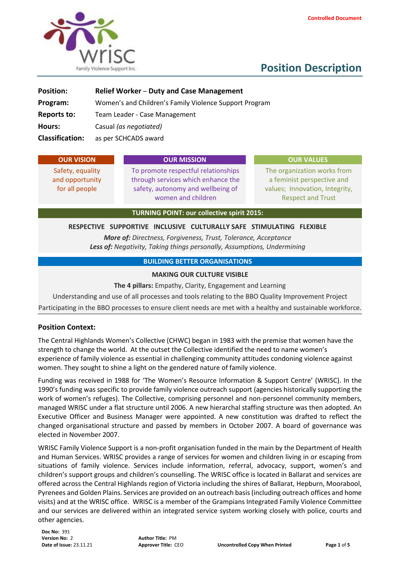

# **Position Description**

| <b>Position:</b>       | <b>Relief Worker - Duty and Case Management</b>        |
|------------------------|--------------------------------------------------------|
| Program:               | Women's and Children's Family Violence Support Program |
| <b>Reports to:</b>     | Team Leader - Case Management                          |
| Hours:                 | Casual (as negotiated)                                 |
| <b>Classification:</b> | as per SCHCADS award                                   |

| <b>OUR VISION</b>                                                              | <b>OUR MISSION</b>                                                                                                                   | <b>OUR VALUES</b>                                                                                                       |  |  |  |  |  |  |
|--------------------------------------------------------------------------------|--------------------------------------------------------------------------------------------------------------------------------------|-------------------------------------------------------------------------------------------------------------------------|--|--|--|--|--|--|
| Safety, equality<br>and opportunity<br>for all people                          | To promote respectful relationships<br>through services which enhance the<br>safety, autonomy and wellbeing of<br>women and children | The organization works from<br>a feminist perspective and<br>values; Innovation, Integrity,<br><b>Respect and Trust</b> |  |  |  |  |  |  |
| <b>TURNING POINT: our collective spirit 2015:</b>                              |                                                                                                                                      |                                                                                                                         |  |  |  |  |  |  |
| SUPPORTIVE INCLUSIVE CULTURALLY SAFE STIMULATING FLEXIBLE<br><b>RESPECTIVE</b> |                                                                                                                                      |                                                                                                                         |  |  |  |  |  |  |

*More of: Directness, Forgiveness, Trust, Tolerance, Acceptance Less of: Negativity, Taking things personally, Assumptions, Undermining*

#### **BUILDING BETTER ORGANISATIONS**

#### **MAKING OUR CULTURE VISIBLE**

**The 4 pillars:** Empathy, Clarity, Engagement and Learning

Understanding and use of all processes and tools relating to the BBO Quality Improvement Project Participating in the BBO processes to ensure client needs are met with a healthy and sustainable workforce.

#### **Position Context:**

The Central Highlands Women's Collective (CHWC) began in 1983 with the premise that women have the strength to change the world. At the outset the Collective identified the need to name women's experience of family violence as essential in challenging community attitudes condoning violence against women. They sought to shine a light on the gendered nature of family violence.

Funding was received in 1988 for 'The Women's Resource Information & Support Centre' (WRISC). In the 1990's funding was specific to provide family violence outreach support (agencies historically supporting the work of women's refuges). The Collective, comprising personnel and non-personnel community members, managed WRISC under a flat structure until 2006. A new hierarchal staffing structure was then adopted. An Executive Officer and Business Manager were appointed. A new constitution was drafted to reflect the changed organisational structure and passed by members in October 2007. A board of governance was elected in November 2007.

WRISC Family Violence Support is a non-profit organisation funded in the main by the Department of Health and Human Services. WRISC provides a range of services for women and children living in or escaping from situations of family violence. Services include information, referral, advocacy, support, women's and children's support groups and children's counselling. The WRISC office is located in Ballarat and services are offered across the Central Highlands region of Victoria including the shires of Ballarat, Hepburn, Moorabool, Pyrenees and Golden Plains. Services are provided on an outreach basis (including outreach offices and home visits) and at the WRISC office. WRISC is a member of the Grampians Integrated Family Violence Committee and our services are delivered within an integrated service system working closely with police, courts and other agencies.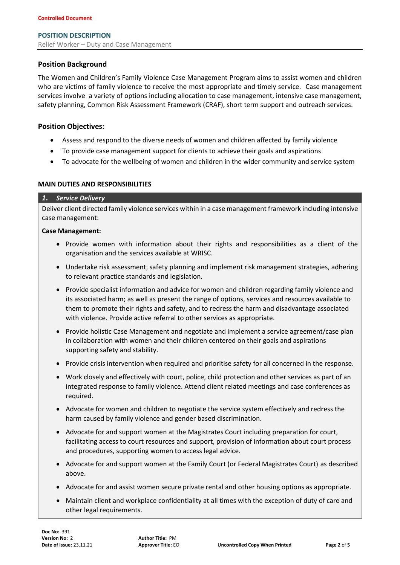## **Position Background**

The Women and Children's Family Violence Case Management Program aims to assist women and children who are victims of family violence to receive the most appropriate and timely service. Case management services involve a variety of options including allocation to case management, intensive case management, safety planning, Common Risk Assessment Framework (CRAF), short term support and outreach services.

### **Position Objectives:**

- Assess and respond to the diverse needs of women and children affected by family violence
- To provide case management support for clients to achieve their goals and aspirations
- To advocate for the wellbeing of women and children in the wider community and service system

## **MAIN DUTIES AND RESPONSIBILITIES**

#### *1. Service Delivery*

Deliver client directed family violence services within in a case management framework including intensive case management:

#### **Case Management:**

- Provide women with information about their rights and responsibilities as a client of the organisation and the services available at WRISC.
- Undertake risk assessment, safety planning and implement risk management strategies, adhering to relevant practice standards and legislation.
- Provide specialist information and advice for women and children regarding family violence and its associated harm; as well as present the range of options, services and resources available to them to promote their rights and safety, and to redress the harm and disadvantage associated with violence. Provide active referral to other services as appropriate.
- Provide holistic Case Management and negotiate and implement a service agreement/case plan in collaboration with women and their children centered on their goals and aspirations supporting safety and stability.
- Provide crisis intervention when required and prioritise safety for all concerned in the response.
- Work closely and effectively with court, police, child protection and other services as part of an integrated response to family violence. Attend client related meetings and case conferences as required.
- Advocate for women and children to negotiate the service system effectively and redress the harm caused by family violence and gender based discrimination.
- Advocate for and support women at the Magistrates Court including preparation for court, facilitating access to court resources and support, provision of information about court process and procedures, supporting women to access legal advice.
- Advocate for and support women at the Family Court (or Federal Magistrates Court) as described above.
- Advocate for and assist women secure private rental and other housing options as appropriate.
- Maintain client and workplace confidentiality at all times with the exception of duty of care and other legal requirements.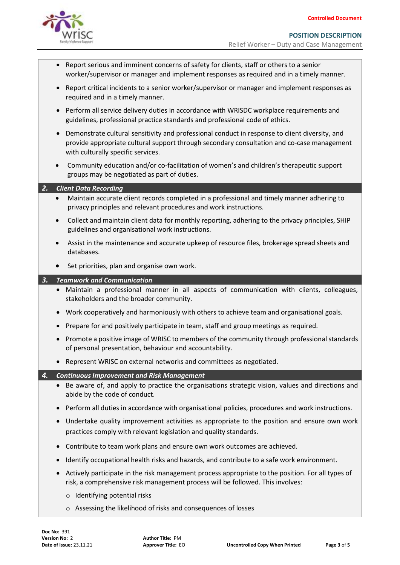

**POSITION DESCRIPTION** Relief Worker – Duty and Case Management

- Report serious and imminent concerns of safety for clients, staff or others to a senior worker/supervisor or manager and implement responses as required and in a timely manner.
- Report critical incidents to a senior worker/supervisor or manager and implement responses as required and in a timely manner.
- Perform all service delivery duties in accordance with WRISDC workplace requirements and guidelines, professional practice standards and professional code of ethics.
- Demonstrate cultural sensitivity and professional conduct in response to client diversity, and provide appropriate cultural support through secondary consultation and co-case management with culturally specific services.
- Community education and/or co-facilitation of women's and children's therapeutic support groups may be negotiated as part of duties.

| 2.        |                                                                                                                                                                                                  |
|-----------|--------------------------------------------------------------------------------------------------------------------------------------------------------------------------------------------------|
|           | <b>Client Data Recording</b>                                                                                                                                                                     |
| $\bullet$ | Maintain accurate client records completed in a professional and timely manner adhering to<br>privacy principles and relevant procedures and work instructions.                                  |
|           | Collect and maintain client data for monthly reporting, adhering to the privacy principles, SHIP<br>guidelines and organisational work instructions.                                             |
|           | Assist in the maintenance and accurate upkeep of resource files, brokerage spread sheets and<br>databases.                                                                                       |
|           | Set priorities, plan and organise own work.                                                                                                                                                      |
| 3.        | <b>Teamwork and Communication</b>                                                                                                                                                                |
|           | • Maintain a professional manner in all aspects of communication with clients, colleagues,<br>stakeholders and the broader community.                                                            |
|           | Work cooperatively and harmoniously with others to achieve team and organisational goals.<br>$\bullet$                                                                                           |
|           | Prepare for and positively participate in team, staff and group meetings as required.                                                                                                            |
|           | • Promote a positive image of WRISC to members of the community through professional standards<br>of personal presentation, behaviour and accountability.                                        |
|           | Represent WRISC on external networks and committees as negotiated.                                                                                                                               |
|           |                                                                                                                                                                                                  |
| 4.        | <b>Continuous Improvement and Risk Management</b>                                                                                                                                                |
|           | • Be aware of, and apply to practice the organisations strategic vision, values and directions and<br>abide by the code of conduct.                                                              |
|           | Perform all duties in accordance with organisational policies, procedures and work instructions.<br>$\bullet$                                                                                    |
|           | Undertake quality improvement activities as appropriate to the position and ensure own work<br>$\bullet$<br>practices comply with relevant legislation and quality standards.                    |
|           | Contribute to team work plans and ensure own work outcomes are achieved.<br>$\bullet$                                                                                                            |
|           | Identify occupational health risks and hazards, and contribute to a safe work environment.<br>$\bullet$                                                                                          |
|           | Actively participate in the risk management process appropriate to the position. For all types of<br>$\bullet$<br>risk, a comprehensive risk management process will be followed. This involves: |
|           | $\circ$ Identifying potential risks                                                                                                                                                              |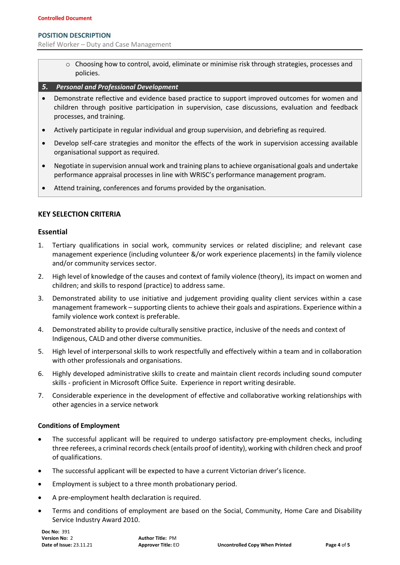#### **POSITION DESCRIPTION**

Relief Worker – Duty and Case Management

- $\circ$  Choosing how to control, avoid, eliminate or minimise risk through strategies, processes and policies.
- *5. Personal and Professional Development*
- Demonstrate reflective and evidence based practice to support improved outcomes for women and children through positive participation in supervision, case discussions, evaluation and feedback processes, and training.
- Actively participate in regular individual and group supervision, and debriefing as required.
- Develop self-care strategies and monitor the effects of the work in supervision accessing available organisational support as required.
- Negotiate in supervision annual work and training plans to achieve organisational goals and undertake performance appraisal processes in line with WRISC's performance management program.
- Attend training, conferences and forums provided by the organisation.

## **KEY SELECTION CRITERIA**

#### **Essential**

- 1. Tertiary qualifications in social work, community services or related discipline; and relevant case management experience (including volunteer &/or work experience placements) in the family violence and/or community services sector.
- 2. High level of knowledge of the causes and context of family violence (theory), its impact on women and children; and skills to respond (practice) to address same.
- 3. Demonstrated ability to use initiative and judgement providing quality client services within a case management framework – supporting clients to achieve their goals and aspirations. Experience within a family violence work context is preferable.
- 4. Demonstrated ability to provide culturally sensitive practice, inclusive of the needs and context of Indigenous, CALD and other diverse communities.
- 5. High level of interpersonal skills to work respectfully and effectively within a team and in collaboration with other professionals and organisations.
- 6. Highly developed administrative skills to create and maintain client records including sound computer skills - proficient in Microsoft Office Suite. Experience in report writing desirable.
- 7. Considerable experience in the development of effective and collaborative working relationships with other agencies in a service network

#### **Conditions of Employment**

- The successful applicant will be required to undergo satisfactory pre-employment checks, including three referees, a criminal records check (entails proof of identity), working with children check and proof of qualifications.
- The successful applicant will be expected to have a current Victorian driver's licence.
- Employment is subject to a three month probationary period.
- A pre-employment health declaration is required.
- Terms and conditions of employment are based on the Social, Community, Home Care and Disability Service Industry Award 2010.